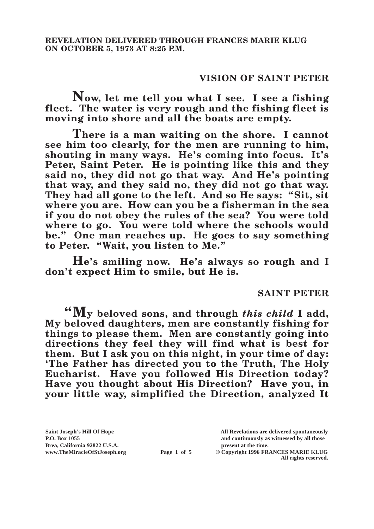## **VISION OF SAINT PETER**

**Now, let me tell you what I see. I see a fishing fleet. The water is very rough and the fishing fleet is moving into shore and all the boats are empty.**

**There is a man waiting on the shore. I cannot see him too clearly, for the men are running to him, shouting in many ways. He's coming into focus. It's Peter, Saint Peter. He is pointing like this and they said no, they did not go that way. And He's pointing that way, and they said no, they did not go that way. They had all gone to the left. And so He says: "Sit, sit where you are. How can you be a fisherman in the sea if you do not obey the rules of the sea? You were told where to go. You were told where the schools would be." One man reaches up. He goes to say something to Peter. "Wait, you listen to Me."**

**He's smiling now. He's always so rough and I don't expect Him to smile, but He is.**

## **SAINT PETER**

**"My beloved sons, and through** *this child* **I add, My beloved daughters, men are constantly fishing for things to please them. Men are constantly going into directions they feel they will find what is best for them. But I ask you on this night, in your time of day: 'The Father has directed you to the Truth, The Holy Eucharist. Have you followed His Direction today? Have you thought about His Direction? Have you, in your little way, simplified the Direction, analyzed It** 

**Brea, California 92822 U.S.A. present at the time.**<br> **Page 1 of 5** © Copyright 1996 FR.

**Saint Joseph's Hill Of Hope All Revelations are delivered spontaneously P.O. Box 1055 and continuously as witnessed by all those** 

**Page 1 of 5** © Copyright 1996 FRANCES MARIE KLUG **All rights reserved.**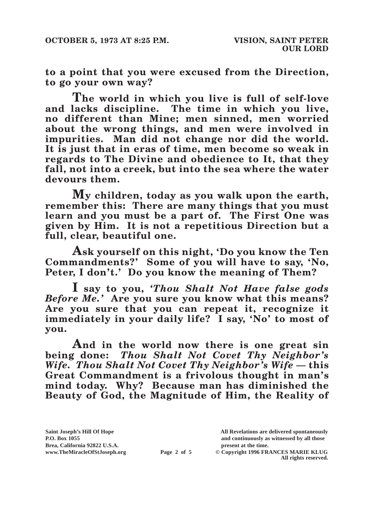**to a point that you were excused from the Direction, to go your own way?**

**The world in which you live is full of self-love and lacks discipline. The time in which you live, no different than Mine; men sinned, men worried about the wrong things, and men were involved in impurities. Man did not change nor did the world. It is just that in eras of time, men become so weak in regards to The Divine and obedience to It, that they fall, not into a creek, but into the sea where the water devours them.**

**My children, today as you walk upon the earth, remember this: There are many things that you must learn and you must be a part of. The First One was given by Him. It is not a repetitious Direction but a full, clear, beautiful one.**

**Ask yourself on this night, 'Do you know the Ten Commandments?' Some of you will have to say, 'No, Peter, I don't.' Do you know the meaning of Them?**

**I say to you,** *'Thou Shalt Not Have false gods Before Me.'* **Are you sure you know what this means? Are you sure that you can repeat it, recognize it immediately in your daily life? I say, 'No' to most of you.**

**And in the world now there is one great sin being done:** *Thou Shalt Not Covet Thy Neighbor's Wife. Thou Shalt Not Covet Thy Neighbor's Wife* **— this Great Commandment is a frivolous thought in man's mind today. Why? Because man has diminished the Beauty of God, the Magnitude of Him, the Reality of** 

**Saint Joseph's Hill Of Hope All Revelations are delivered spontaneously P.O. Box 1055 and continuously as witnessed by all those** 

 $\odot$  Copyright 1996 FRANCES MARIE KLUG **All rights reserved.**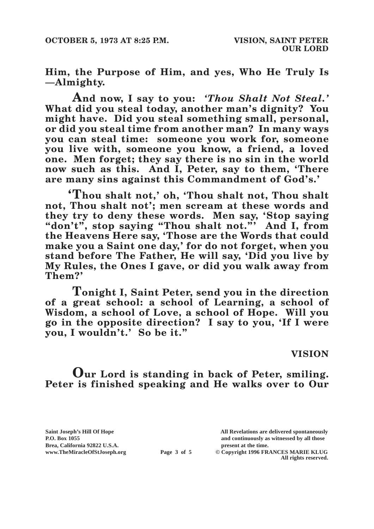**Him, the Purpose of Him, and yes, Who He Truly Is —Almighty.**

**And now, I say to you:** *'Thou Shalt Not Steal.'* **What did you steal today, another man's dignity? You might have. Did you steal something small, personal, or did you steal time from another man? In many ways you can steal time: someone you work for, someone you live with, someone you know, a friend, a loved one. Men forget; they say there is no sin in the world now such as this. And I, Peter, say to them, 'There are many sins against this Commandment of God's.'**

**'Thou shalt not,' oh, 'Thou shalt not, Thou shalt not, Thou shalt not'; men scream at these words and they try to deny these words. Men say, 'Stop saying "don't", stop saying "Thou shalt not."' And I, from the Heavens Here say, 'Those are the Words that could make you a Saint one day,' for do not forget, when you stand before The Father, He will say, 'Did you live by My Rules, the Ones I gave, or did you walk away from Them?'**

**Tonight I, Saint Peter, send you in the direction of a great school: a school of Learning, a school of Wisdom, a school of Love, a school of Hope. Will you go in the opposite direction? I say to you, 'If I were you, I wouldn't.' So be it."**

## **VISION**

**Our Lord is standing in back of Peter, smiling. Peter is finished speaking and He walks over to Our** 

Brea, California 92822 U.S.A.<br>
www.TheMiracleOfStJoseph.org<br> **Page 3 of 5** © Copyright 1996 FR.

**Saint Joseph's Hill Of Hope All Revelations are delivered spontaneously P.O. Box 1055 and continuously as witnessed by all those** 

**Page 3 of 5** © Copyright 1996 FRANCES MARIE KLUG **All rights reserved.**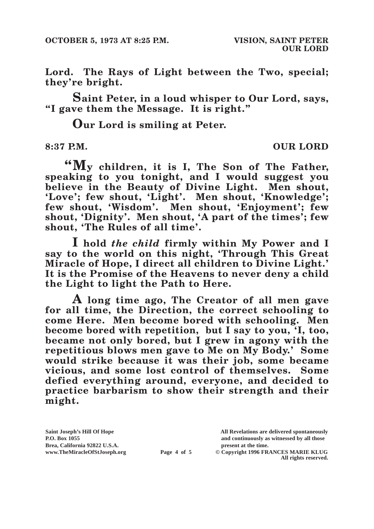**Lord. The Rays of Light between the Two, special; they're bright.**

**Saint Peter, in a loud whisper to Our Lord, says, "I gave them the Message. It is right."**

**Our Lord is smiling at Peter.**

**8:37 P.M. OUR LORD**

**"My children, it is I, The Son of The Father, speaking to you tonight, and I would suggest you believe in the Beauty of Divine Light. Men shout, 'Love'; few shout, 'Light'. Men shout, 'Knowledge'; few shout, 'Wisdom'. Men shout, 'Enjoyment'; few shout, 'Dignity'. Men shout, 'A part of the times'; few shout, 'The Rules of all time'.**

**I hold** *the child* **firmly within My Power and I say to the world on this night, 'Through This Great Miracle of Hope, I direct all children to Divine Light.' It is the Promise of the Heavens to never deny a child the Light to light the Path to Here.**

**A long time ago, The Creator of all men gave for all time, the Direction, the correct schooling to come Here. Men become bored with schooling. Men become bored with repetition, but I say to you, 'I, too, became not only bored, but I grew in agony with the repetitious blows men gave to Me on My Body.' Some would strike because it was their job, some became vicious, and some lost control of themselves. Some defied everything around, everyone, and decided to practice barbarism to show their strength and their might.**

Brea, California 92822 U.S.A.<br>
www.TheMiracleOfStJoseph.org<br> **Page 4 of 5** © Copyright 1996 FR.

**Saint Joseph's Hill Of Hope All Revelations are delivered spontaneously P.O. Box 1055 and continuously as witnessed by all those** 

 $\odot$  Copyright 1996 FRANCES MARIE KLUG **All rights reserved.**